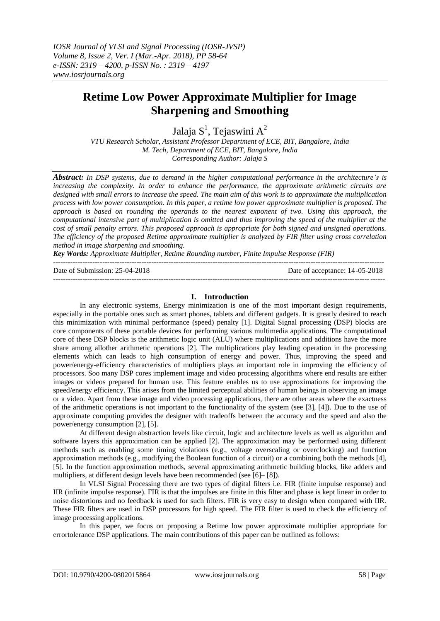# **Retime Low Power Approximate Multiplier for Image Sharpening and Smoothing**

Jalaja  $\mathrm{S}^1$ , Tejaswini  $\mathrm{A}^2$ 

*VTU Research Scholar, Assistant Professor Department of ECE, BIT, Bangalore, India M. Tech, Department of ECE, BIT, Bangalore, India Corresponding Author: Jalaja S*

*Abstract: In DSP systems, due to demand in the higher computational performance in the architecture's is increasing the complexity. In order to enhance the performance, the approximate arithmetic circuits are designed with small errors to increase the speed. The main aim of this work is to approximate the multiplication process with low power consumption. In this paper, a retime low power approximate multiplier is proposed. The approach is based on rounding the operands to the nearest exponent of two. Using this approach, the computational intensive part of multiplication is omitted and thus improving the speed of the multiplier at the cost of small penalty errors. This proposed approach is appropriate for both signed and unsigned operations. The efficiency of the proposed Retime approximate multiplier is analyzed by FIR filter using cross correlation method in image sharpening and smoothing.*

*Key Words: Approximate Multiplier, Retime Rounding number, Finite Impulse Response (FIR)* ---------------------------------------------------------------------------------------------------------------------------------------

Date of Submission: 25-04-2018 Date of acceptance: 14-05-2018

### **I. Introduction**

---------------------------------------------------------------------------------------------------------------------------------------

In any electronic systems, Energy minimization is one of the most important design requirements, especially in the portable ones such as smart phones, tablets and different gadgets. It is greatly desired to reach this minimization with minimal performance (speed) penalty [1]. Digital Signal processing (DSP) blocks are core components of these portable devices for performing various multimedia applications. The computational core of these DSP blocks is the arithmetic logic unit (ALU) where multiplications and additions have the more share among allother arithmetic operations [2]. The multiplications play leading operation in the processing elements which can leads to high consumption of energy and power. Thus, improving the speed and power/energy-efficiency characteristics of multipliers plays an important role in improving the efficiency of processors. Soo many DSP cores implement image and video processing algorithms where end results are either images or videos prepared for human use. This feature enables us to use approximations for improving the speed/energy efficiency. This arises from the limited perceptual abilities of human beings in observing an image or a video. Apart from these image and video processing applications, there are other areas where the exactness of the arithmetic operations is not important to the functionality of the system (see [3], [4]). Due to the use of approximate computing provides the designer with tradeoffs between the accuracy and the speed and also the power/energy consumption [2], [5].

At different design abstraction levels like circuit, logic and architecture levels as well as algorithm and software layers this approximation can be applied [2]. The approximation may be performed using different methods such as enabling some timing violations (e.g., voltage overscaling or overclocking) and function approximation methods (e.g., modifying the Boolean function of a circuit) or a combining both the methods [4], [5]. In the function approximation methods, several approximating arithmetic building blocks, like adders and multipliers, at different design levels have been recommended (see [6]– [8]).

In VLSI Signal Processing there are two types of digital filters i.e. FIR (finite impulse response) and IIR (infinite impulse response). FIR is that the impulses are finite in this filter and phase is kept linear in order to noise distortions and no feedback is used for such filters. FIR is very easy to design when compared with IIR. These FIR filters are used in DSP processors for high speed. The FIR filter is used to check the efficiency of image processing applications.

In this paper, we focus on proposing a Retime low power approximate multiplier appropriate for errortolerance DSP applications. The main contributions of this paper can be outlined as follows: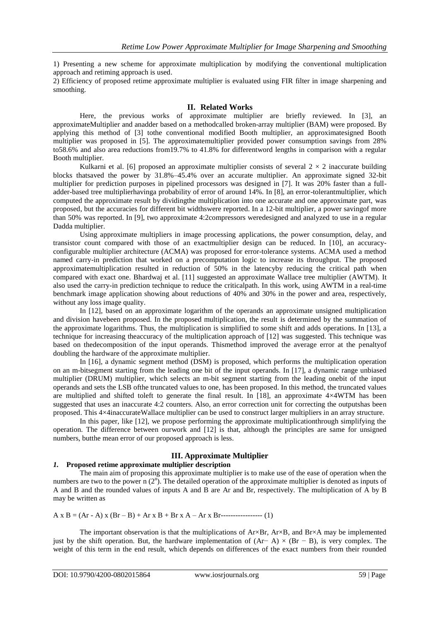1) Presenting a new scheme for approximate multiplication by modifying the conventional multiplication approach and retiming approach is used.

2) Efficiency of proposed retime approximate multiplier is evaluated using FIR filter in image sharpening and smoothing.

#### **II. Related Works**

Here, the previous works of approximate multiplier are briefly reviewed. In [3], an approximateMultiplier and anadder based on a methodcalled broken-array multiplier (BAM) were proposed. By applying this method of [3] tothe conventional modified Booth multiplier, an approximatesigned Booth multiplier was proposed in [5]. The approximatemultiplier provided power consumption savings from 28% to58.6% and also area reductions from19.7% to 41.8% for differentword lengths in comparison with a regular Booth multiplier.

Kulkarni et al. [6] proposed an approximate multiplier consists of several  $2 \times 2$  inaccurate building blocks thatsaved the power by 31.8%–45.4% over an accurate multiplier. An approximate signed 32-bit multiplier for prediction purposes in pipelined processors was designed in [7]. It was 20% faster than a fulladder-based tree multiplierhavinga probability of error of around 14%. In [8], an error-tolerantmultiplier, which computed the approximate result by dividingthe multiplication into one accurate and one approximate part, was proposed, but the accuracies for different bit widthswere reported. In a 12-bit multiplier, a power savingof more than 50% was reported. In [9], two approximate 4:2compressors weredesigned and analyzed to use in a regular Dadda multiplier.

Using approximate multipliers in image processing applications, the power consumption, delay, and transistor count compared with those of an exactmultiplier design can be reduced. In [10], an accuracyconfigurable multiplier architecture (ACMA) was proposed for error-tolerance systems. ACMA used a method named carry-in prediction that worked on a precomputation logic to increase its throughput. The proposed approximatemultiplication resulted in reduction of 50% in the latencyby reducing the critical path when compared with exact one. Bhardwaj et al. [11] suggested an approximate Wallace tree multiplier (AWTM). It also used the carry-in prediction technique to reduce the criticalpath. In this work, using AWTM in a real-time benchmark image application showing about reductions of 40% and 30% in the power and area, respectively, without any loss image quality.

In [12], based on an approximate logarithm of the operands an approximate unsigned multiplication and division havebeen proposed. In the proposed multiplication, the result is determined by the summation of the approximate logarithms. Thus, the multiplication is simplified to some shift and adds operations. In [13], a technique for increasing theaccuracy of the multiplication approach of [12] was suggested. This technique was based on thedecomposition of the input operands. Thismethod improved the average error at the penaltyof doubling the hardware of the approximate multiplier.

In [16], a dynamic segment method (DSM) is proposed, which performs the multiplication operation on an m-bitsegment starting from the leading one bit of the input operands. In [17], a dynamic range unbiased multiplier (DRUM) multiplier, which selects an m-bit segment starting from the leading onebit of the input operands and sets the LSB ofthe truncated values to one, has been proposed. In this method, the truncated values are multiplied and shifted to generate the final result. In [18], an approximate  $4\times4WTM$  has been suggested that uses an inaccurate 4:2 counters. Also, an error correction unit for correcting the outputshas been proposed. This 4×4inaccurateWallace multiplier can be used to construct larger multipliers in an array structure.

In this paper, like [12], we propose performing the approximate multiplicationthrough simplifying the operation. The difference between ourwork and [12] is that, although the principles are same for unsigned numbers, butthe mean error of our proposed approach is less.

## **III. Approximate Multiplier**

# *1.* **Proposed retime approximate multiplier description**

The main aim of proposing this approximate multiplier is to make use of the ease of operation when the numbers are two to the power  $n(2^n)$ . The detailed operation of the approximate multiplier is denoted as inputs of A and B and the rounded values of inputs A and B are Ar and Br, respectively. The multiplication of A by B may be written as

A x B = (Ar - A) x (Br – B) + Ar x B + Br x A – Ar x Br----------------- (1)

The important observation is that the multiplications of  $A r \times B$ ,  $A r \times B$ , and  $B r \times A$  may be implemented just by the shift operation. But, the hardware implementation of  $(Ar - A) \times (Br - B)$ , is very complex. The weight of this term in the end result, which depends on differences of the exact numbers from their rounded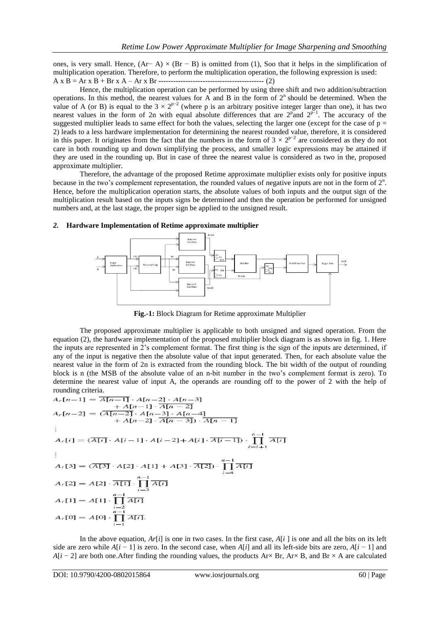ones, is very small. Hence,  $(Ar - A) \times (Br - B)$  is omitted from (1), Soo that it helps in the simplification of multiplication operation. Therefore, to perform the multiplication operation, the following expression is used: A x B = Ar x B + Br x A – Ar x Br ------------------------------------------- (2)

Hence, the multiplication operation can be performed by using three shift and two addition/subtraction operations. In this method, the nearest values for A and B in the form of  $2<sup>n</sup>$  should be determined. When the value of A (or B) is equal to the  $3 \times 2^{p-2}$  (where p is an arbitrary positive integer larger than one), it has two nearest values in the form of 2n with equal absolute differences that are  $2^{\text{p}}$  and  $2^{\text{p}-1}$ . The accuracy of the suggested multiplier leads to same effect for both the values, selecting the larger one (except for the case of  $p =$ 2) leads to a less hardware implementation for determining the nearest rounded value, therefore, it is considered in this paper. It originates from the fact that the numbers in the form of  $3 \times 2^{p-2}$  are considered as they do not care in both rounding up and down simplifying the process, and smaller logic expressions may be attained if they are used in the rounding up. But in case of three the nearest value is considered as two in the, proposed approximate multiplier.

Therefore, the advantage of the proposed Retime approximate multiplier exists only for positive inputs because in the two's complement representation, the rounded values of negative inputs are not in the form of  $2<sup>n</sup>$ . Hence, before the multiplication operation starts, the absolute values of both inputs and the output sign of the multiplication result based on the inputs signs be determined and then the operation be performed for unsigned numbers and, at the last stage, the proper sign be applied to the unsigned result.

#### *2.* **Hardware Implementation of Retime approximate multiplier**



**Fig.-1:** Block Diagram for Retime approximate Multiplier

The proposed approximate multiplier is applicable to both unsigned and signed operation. From the equation (2), the hardware implementation of the proposed multiplier block diagram is as shown in fig. 1. Here the inputs are represented in 2's complement format. The first thing is the sign of the inputs are determined, if any of the input is negative then the absolute value of that input generated. Then, for each absolute value the nearest value in the form of 2n is extracted from the rounding block. The bit width of the output of rounding block is n (the MSB of the absolute value of an n-bit number in the two's complement format is zero). To determine the nearest value of input A, the operands are rounding off to the power of 2 with the help of rounding criteria.

$$
A_r[n-1] = \overline{A[n-1]} \cdot A[n-2] \cdot A[n-3] \n+ A[n-1] \cdot \overline{A[n-2]} \n+ A[n-1] \cdot \overline{A[n-2]} \n+ A[n-3] \cdot A[n-4] \n+ A[n-2] \cdot \overline{A[n-3]} \cdot \overline{A[n-1]} \n\vdots \nA_r[i] = (\overline{A[i]} \cdot A[i-1] \cdot A[i-2] + A[i] \cdot \overline{A[i-1]}) \cdot \prod_{i=i+1}^{n-1} \overline{A[i]} \n\vdots \nA_r[3] = (\overline{A[3]} \cdot A[2] \cdot A[1] + A[3] \cdot \overline{A[2]}) \cdot \prod_{i=4}^{n-1} \overline{A[i]} \nA_r[2] = A[2] \cdot \overline{A[1]} \cdot \prod_{i=3}^{n-1} \overline{A[i]} \nA_r[1] = A[1] \cdot \prod_{i=2}^{n-1} \overline{A[i]} \nA_r[0] = A[0] \cdot \prod_{i=1}^{n-1} \overline{A[i]}.
$$

In the above equation,  $Ar[i]$  is one in two cases. In the first case,  $A[i]$  is one and all the bits on its left side are zero while *A*[*i* − 1] is zero. In the second case, when *A*[*i*] and all its left-side bits are zero, *A*[*i* − 1] and *A*[ $i - 2$ ] are both one.After finding the rounding values, the products Ar× Br, Ar× B, and Br × A are calculated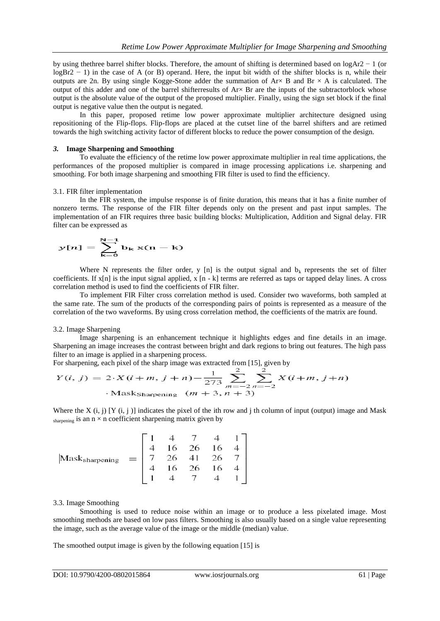by using thethree barrel shifter blocks. Therefore, the amount of shifting is determined based on logAr2 − 1 (or logBr2 − 1) in the case of A (or B) operand. Here, the input bit width of the shifter blocks is n, while their outputs are 2n. By using single Kogge-Stone adder the summation of  $Ax \times B$  and  $Br \times A$  is calculated. The output of this adder and one of the barrel shifterresults of  $Arx$  Br are the inputs of the subtractorblock whose output is the absolute value of the output of the proposed multiplier. Finally, using the sign set block if the final output is negative value then the output is negated.

In this paper, proposed retime low power approximate multiplier architecture designed using repositioning of the Flip-flops. Flip-flops are placed at the cutset line of the barrel shifters and are retimed towards the high switching activity factor of different blocks to reduce the power consumption of the design.

#### *3.* **Image Sharpening and Smoothing**

To evaluate the efficiency of the retime low power approximate multiplier in real time applications, the performances of the proposed multiplier is compared in image processing applications i.e. sharpening and smoothing. For both image sharpening and smoothing FIR filter is used to find the efficiency.

#### 3.1. FIR filter implementation

In the FIR system, the impulse response is of finite duration, this means that it has a finite number of nonzero terms. The response of the FIR filter depends only on the present and past input samples. The implementation of an FIR requires three basic building blocks: Multiplication, Addition and Signal delay. FIR filter can be expressed as

$$
y[n] = \sum_{k=0}^{N-1} b_k x(n-k)
$$

Where N represents the filter order, y [n] is the output signal and  $b_k$  represents the set of filter coefficients. If x[n] is the input signal applied, x [n - k] terms are referred as taps or tapped delay lines. A cross correlation method is used to find the coefficients of FIR filter.

To implement FIR Filter cross correlation method is used. Consider two waveforms, both sampled at the same rate. The sum of the products of the corresponding pairs of points is represented as a measure of the correlation of the two waveforms. By using cross correlation method, the coefficients of the matrix are found.

#### 3.2. Image Sharpening

Image sharpening is an enhancement technique it highlights edges and fine details in an image. Sharpening an image increases the contrast between bright and dark regions to bring out features. The high pass filter to an image is applied in a sharpening process.

For sharpening, each pixel of the sharp image was extracted from [15], given by

$$
Y(i, j) = 2 \cdot X(i + m, j + n) - \frac{1}{273} \sum_{m=-2}^{2} \sum_{n=-2}^{2} X(i + m, j + n)
$$
  
·Masksharpening  $(m + 3, n + 3)$ 

Where the X  $(i, j)$  [Y  $(i, j)$ ] indicates the pixel of the ith row and j th column of input (output) image and Mask sharpening is an  $n \times n$  coefficient sharpening matrix given by

$$
\text{Mask}_{\text{sharp}} = \begin{bmatrix} 1 & 4 & 7 & 4 & 1 \\ 4 & 16 & 26 & 16 & 4 \\ 7 & 26 & 41 & 26 & 7 \\ 4 & 16 & 26 & 16 & 4 \\ 1 & 4 & 7 & 4 & 1 \end{bmatrix}
$$

#### 3.3. Image Smoothing

Smoothing is used to reduce noise within an image or to produce a less pixelated image. Most smoothing methods are based on low pass filters. Smoothing is also usually based on a single value representing the image, such as the average value of the image or the middle (median) value.

The smoothed output image is given by the following equation [15] is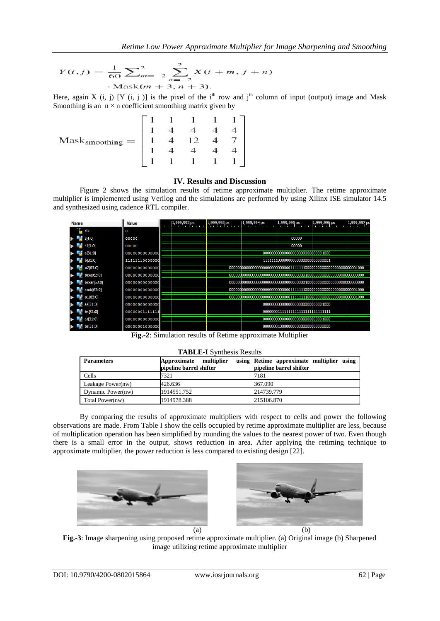$$
Y(i,j) = \frac{1}{60} \sum_{m=-2}^{2} \sum_{n=-2}^{2} X(i+m, j+n)
$$
  
·Mask(m+3, n+3).

Here, again X (i, j) [Y (i, j)] is the pixel of the i<sup>th</sup> row and j<sup>th</sup> column of input (output) image and Mask Smoothing is an  $n \times n$  coefficient smoothing matrix given by

|                               |  | 1 | 1 <sup>1</sup>                                                                                                           |
|-------------------------------|--|---|--------------------------------------------------------------------------------------------------------------------------|
|                               |  |   |                                                                                                                          |
| $Mask_{\text{smoothing}} =  $ |  |   | $\begin{array}{cccccc}\n1 & 1 & 1 & 1 \\ 4 & 4 & 4 & 4 \\ 4 & 12 & 4 & 7 \\ 4 & 4 & 4 & 4 \\ 1 & 1 & 1 & 1\n\end{array}$ |
|                               |  |   |                                                                                                                          |
|                               |  |   |                                                                                                                          |

## **IV. Results and Discussion**

Figure 2 shows the simulation results of retime approximate multiplier. The retime approximate multiplier is implemented using Verilog and the simulations are performed by using Xilinx ISE simulator 14.5 and synthesized using cadence RTL compiler.

| <b>Name</b>            |                           | <b>Value</b>   | 1,999,992 ps | 1,999,993 ps | 1,999,994 ps | 1,999,995 ps                       | 1,999,996 ps | 1,999,997 ps |
|------------------------|---------------------------|----------------|--------------|--------------|--------------|------------------------------------|--------------|--------------|
|                        | $\blacksquare$ cik        | $^{\circ}$     |              |              |              |                                    |              |              |
|                        | $\frac{1}{11}$ s[4:0]     | 00000          |              |              |              | 00000                              |              |              |
|                        | $F = 51[4:0]$             | 00000          |              |              |              | 00000                              |              |              |
|                        | $\frac{1}{2}$ a [31:0]    | 0000000000000  |              |              |              |                                    |              |              |
|                        | $\frac{1}{2}$ b[31:0]     | 11111110000000 |              |              |              | 111111100000000000000000000000001  |              |              |
| - m                    | o2[63:0]                  | 00000000000000 |              |              |              |                                    |              |              |
|                        | $\blacksquare$ brxa[63:0] | 00000000000000 |              |              |              |                                    |              |              |
|                        | $b$ brxar[63:0]           | 00000000000000 |              |              |              |                                    |              |              |
|                        | $\epsilon$ arxb $[63:0]$  | 00000000000000 |              |              |              |                                    |              |              |
| $\mathcal{L}_{\Omega}$ | 01[63:0]                  | 00000000000000 |              |              |              |                                    |              |              |
|                        | $e^4$ as [31:0]           | 0000000000000  |              |              |              |                                    |              |              |
|                        | $\approx$ bs [31:0]       | 00000001111111 |              |              |              |                                    |              |              |
|                        | $\approx$ ar[31:0]        | 0000000000000  |              |              |              |                                    |              |              |
|                        | br[31:0]                  | 00000001000000 |              |              |              | 0000000100000000000000000000000000 |              |              |

**Fig.-2**: Simulation results of Retime approximate Multiplier

#### **TABLE-I** Synthesis Results

| <b>Parameters</b> | multiplier<br>Approximate<br>pipeline barrel shifter | using Retime approximate multiplier using<br>pipeline barrel shifter |
|-------------------|------------------------------------------------------|----------------------------------------------------------------------|
| <b>Cells</b>      | 7321                                                 | 7181                                                                 |
| Leakage Power(nw) | 426.636                                              | 367.090                                                              |
| Dynamic Power(nw) | 1914551.752                                          | 214739.779                                                           |
| Total Power(nw)   | 1914978.388                                          | 215106.870                                                           |

By comparing the results of approximate multipliers with respect to cells and power the following observations are made. From Table I show the cells occupied by retime approximate multiplier are less, because of multiplication operation has been simplified by rounding the values to the nearest power of two. Even though there is a small error in the output, shows reduction in area. After applying the retiming technique to approximate multiplier, the power reduction is less compared to existing design [22].





**Fig.-3**: Image sharpening using proposed retime approximate multiplier. (a) Original image (b) Sharpened image utilizing retime approximate multiplier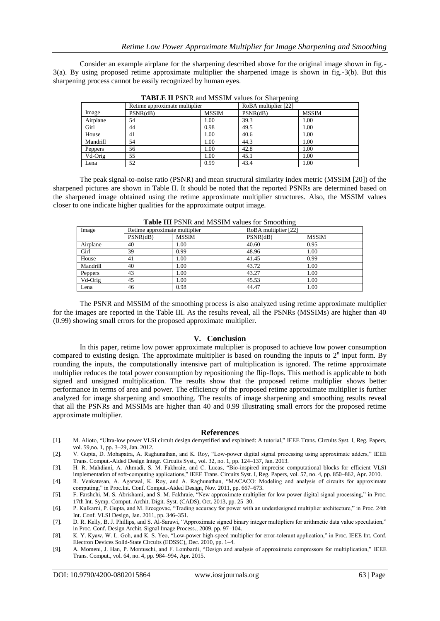Consider an example airplane for the sharpening described above for the original image shown in fig.- 3(a). By using proposed retime approximate multiplier the sharpened image is shown in fig.-3(b). But this sharpening process cannot be easily recognized by human eyes.

|          | Retime approximate multiplier |              | RoBA multiplier [22] |              |
|----------|-------------------------------|--------------|----------------------|--------------|
| Image    | PSNR(dB)                      | <b>MSSIM</b> | PSNR(dB)             | <b>MSSIM</b> |
| Airplane | 54                            | 1.00         | 39.3                 | 1.00         |
| Girl     | 44                            | 0.98         | 49.5                 | 1.00         |
| House    | 41                            | 1.00         | 40.6                 | 1.00         |
| Mandrill | 54                            | 1.00         | 44.3                 | 1.00         |
| Peppers  | 56                            | 1.00         | 42.8                 | 1.00         |
| Vd-Orig  | 55                            | 1.00         | 45.1                 | 1.00         |
| Lena     | 52                            | 0.99         | 43.4                 | 1.00         |

**TABLE II** PSNR and MSSIM values for Sharpening

The peak signal-to-noise ratio (PSNR) and mean structural similarity index metric (MSSIM [20]) of the sharpened pictures are shown in Table II. It should be noted that the reported PSNRs are determined based on the sharpened image obtained using the retime approximate multiplier structures. Also, the MSSIM values closer to one indicate higher qualities for the approximate output image.

| Image    | Retime approximate multiplier |              | RoBA multiplier [22] |              |
|----------|-------------------------------|--------------|----------------------|--------------|
|          | PSNR(dB)                      | <b>MSSIM</b> | PSNR(dB)             | <b>MSSIM</b> |
| Airplane | 40                            | 1.00         | 40.60                | 0.95         |
| Girl     | 39                            | 0.99         | 48.96                | 1.00         |
| House    | 41                            | 1.00         | 41.45                | 0.99         |
| Mandrill | 40                            | 1.00         | 43.72                | 1.00         |
| Peppers  | 43                            | 1.00         | 43.27                | 1.00         |
| Vd-Orig  | 45                            | 1.00         | 45.53                | 1.00         |
| Lena     | 46                            | 0.98         | 44.47                | 1.00         |

**Table III** PSNR and MSSIM values for Smoothing

The PSNR and MSSIM of the smoothing process is also analyzed using retime approximate multiplier for the images are reported in the Table III. As the results reveal, all the PSNRs (MSSIMs) are higher than 40 (0.99) showing small errors for the proposed approximate multiplier.

#### **V. Conclusion**

In this paper, retime low power approximate multiplier is proposed to achieve low power consumption compared to existing design. The approximate multiplier is based on rounding the inputs to  $2<sup>n</sup>$  input form. By rounding the inputs, the computationally intensive part of multiplication is ignored. The retime approximate multiplier reduces the total power consumption by repositioning the flip-flops. This method is applicable to both signed and unsigned multiplication. The results show that the proposed retime multiplier shows better performance in terms of area and power. The efficiency of the proposed retime approximate multiplier is further analyzed for image sharpening and smoothing. The results of image sharpening and smoothing results reveal that all the PSNRs and MSSIMs are higher than 40 and 0.99 illustrating small errors for the proposed retime approximate multiplier.

#### **References**

- [1]. M. Alioto, "Ultra-low power VLSI circuit design demystified and explained: A tutorial," IEEE Trans. Circuits Syst. I, Reg. Papers, vol. 59,no. 1, pp. 3–29, Jan. 2012.
- [2]. V. Gupta, D. Mohapatra, A. Raghunathan, and K. Roy, "Low-power digital signal processing using approximate adders," IEEE Trans. Comput.-Aided Design Integr. Circuits Syst., vol. 32, no. 1, pp. 124–137, Jan. 2013.
- [3]. H. R. Mahdiani, A. Ahmadi, S. M. Fakhraie, and C. Lucas, "Bio-inspired imprecise computational blocks for efficient VLSI implementation of soft-computing applications," IEEE Trans. Circuits Syst. I, Reg. Papers, vol. 57, no. 4, pp. 850–862, Apr. 2010.
- [4]. R. Venkatesan, A. Agarwal, K. Roy, and A. Raghunathan, "MACACO: Modeling and analysis of circuits for approximate computing," in Proc.Int. Conf. Comput.-Aided Design, Nov. 2011, pp. 667–673.
- [5]. F. Farshchi, M. S. Abrishami, and S. M. Fakhraie, "New approximate multiplier for low power digital signal processing," in Proc. 17th Int. Symp. Comput. Archit. Digit. Syst. (CADS), Oct. 2013, pp. 25–30.
- [6]. P. Kulkarni, P. Gupta, and M. Ercegovac, "Trading accuracy for power with an underdesigned multiplier architecture," in Proc. 24th Int. Conf. VLSI Design, Jan. 2011, pp. 346–351.
- [7]. D. R. Kelly, B. J. Phillips, and S. Al-Sarawi, "Approximate signed binary integer multipliers for arithmetic data value speculation," in Proc. Conf. Design Archit. Signal Image Process., 2009, pp. 97–104.
- [8]. K. Y. Kyaw, W. L. Goh, and K. S. Yeo, "Low-power high-speed multiplier for error-tolerant application," in Proc. IEEE Int. Conf. Electron Devices Solid-State Circuits (EDSSC), Dec. 2010, pp. 1–4.
- [9]. A. Momeni, J. Han, P. Montuschi, and F. Lombardi, "Design and analysis of approximate compressors for multiplication," IEEE Trans. Comput., vol. 64, no. 4, pp. 984–994, Apr. 2015.